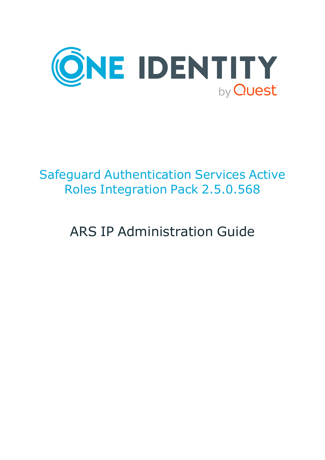

# Safeguard Authentication Services Active Roles Integration Pack 2.5.0.568

# ARS IP Administration Guide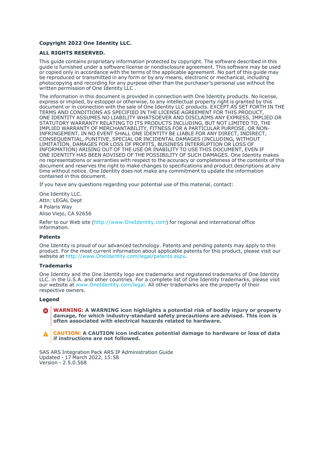#### **Copyright 2022 One Identity LLC.**

#### **ALL RIGHTS RESERVED.**

This guide contains proprietary information protected by copyright. The software described in this guide is furnished under a software license or nondisclosure agreement. This software may be used or copied only in accordance with the terms of the applicable agreement. No part of this guide may be reproduced or transmitted in any form or by any means, electronic or mechanical, including photocopying and recording for any purpose other than the purchaser's personal use without the written permission of One Identity LLC .

The information in this document is provided in connection with One Identity products. No license, express or implied, by estoppel or otherwise, to any intellectual property right is granted by this document or in connection with the sale of One Identity LLC products. EXCEPT AS SET FORTH IN THE TERMS AND CONDITIONS AS SPECIFIED IN THE LICENSE AGREEMENT FOR THIS PRODUCT, ONE IDENTITY ASSUMES NO LIABILITY WHATSOEVER AND DISCLAIMS ANY EXPRESS, IMPLIED OR STATUTORY WARRANTY RELATING TO ITS PRODUCTS INCLUDING, BUT NOT LIMITED TO, THE IMPLIED WARRANTY OF MERCHANTABILITY, FITNESS FOR A PARTICULAR PURPOSE, OR NON-INFRINGEMENT. IN NO EVENT SHALL ONE IDENTITY BE LIABLE FOR ANY DIRECT, INDIRECT, CONSEQUENTIAL, PUNITIVE, SPECIAL OR INCIDENTAL DAMAGES (INCLUDING, WITHOUT LIMITATION, DAMAGES FOR LOSS OF PROFITS, BUSINESS INTERRUPTION OR LOSS OF INFORMATION) ARISING OUT OF THE USE OR INABILITY TO USE THIS DOCUMENT, EVEN IF ONE IDENTITY HAS BEEN ADVISED OF THE POSSIBILITY OF SUCH DAMAGES. One Identity makes no representations or warranties with respect to the accuracy or completeness of the contents of this document and reserves the right to make changes to specifications and product descriptions at any time without notice. One Identity does not make any commitment to update the information contained in this document.

If you have any questions regarding your potential use of this material, contact:

One Identity LLC. Attn: LEGAL Dept 4 Polaris Way Aliso Viejo, CA 92656

Refer to our Web site [\(http://www.OneIdentity.com](http://www.oneidentity.com/)) for regional and international office information.

#### **Patents**

One Identity is proud of our advanced technology. Patents and pending patents may apply to this product. For the most current information about applicable patents for this product, please visit our website at [http://www.OneIdentity.com/legal/patents.aspx.](http://www.oneidentity.com/legal/patents.aspx)

#### **Trademarks**

One Identity and the One Identity logo are trademarks and registered trademarks of One Identity LLC. in the U.S.A. and other countries. For a complete list of One Identity trademarks, please visit our website at [www.OneIdentity.com/legal](http://www.oneidentity.com/legal). All other trademarks are the property of their respective owners.

#### **Legend**

**WARNING: A WARNING icon highlights a potential risk of bodily injury or property** œ **damage, for which industry-standard safety precautions are advised. This icon is often associated with electrical hazards related to hardware.**

**CAUTION: A CAUTION icon indicates potential damage to hardware or loss of data if instructions are not followed.**

SAS ARS Integration Pack ARS IP Administration Guide Updated - 17 March 2022, 15:58 Version - 2.5.0.568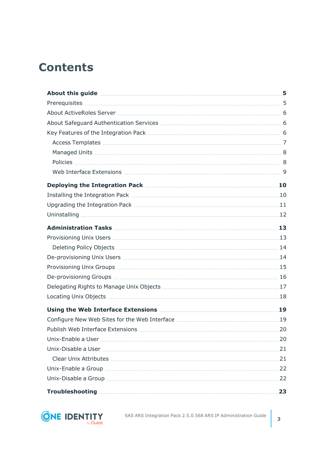## **Contents**

| About this guide <b>constructs</b> 5                                                     |    |
|------------------------------------------------------------------------------------------|----|
|                                                                                          |    |
|                                                                                          |    |
|                                                                                          |    |
|                                                                                          |    |
|                                                                                          |    |
|                                                                                          |    |
|                                                                                          |    |
|                                                                                          |    |
|                                                                                          |    |
|                                                                                          |    |
|                                                                                          |    |
|                                                                                          |    |
|                                                                                          |    |
|                                                                                          |    |
|                                                                                          |    |
|                                                                                          |    |
|                                                                                          |    |
|                                                                                          |    |
|                                                                                          |    |
|                                                                                          |    |
| Using the Web Interface Extensions <b>Manufact 19</b> Using the Web Interface Extensions |    |
|                                                                                          |    |
|                                                                                          |    |
|                                                                                          | 20 |
|                                                                                          |    |
|                                                                                          |    |
|                                                                                          |    |
|                                                                                          |    |
|                                                                                          | 23 |



SAS ARS Integration Pack 2.5.0.568 ARS IP Administration Guide 3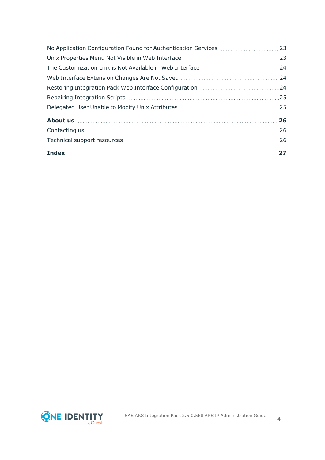| 24 |
|----|
|    |
|    |
|    |
|    |
| 26 |
|    |
|    |
|    |

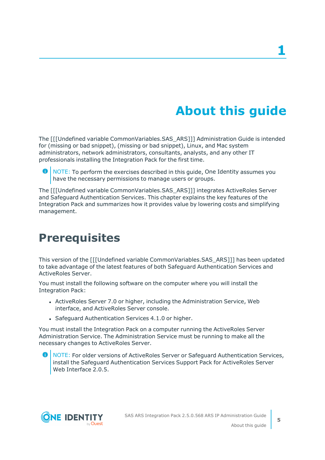# **About this guide**

<span id="page-4-0"></span>The [[[Undefined variable CommonVariables.SAS\_ARS]]] Administration Guide is intended for (missing or bad snippet), (missing or bad snippet), Linux, and Mac system administrators, network administrators, consultants, analysts, and any other IT professionals installing the Integration Pack for the first time.

Œ NOTE: To perform the exercises described in this guide, One Identity assumes you have the necessary permissions to manage users or groups.

The [[[Undefined variable CommonVariables.SAS\_ARS]]] integrates ActiveRoles Server and Safeguard Authentication Services. This chapter explains the key features of the Integration Pack and summarizes how it provides value by lowering costs and simplifying management.

### <span id="page-4-1"></span>**Prerequisites**

This version of the [[[Undefined variable CommonVariables.SAS\_ARS]]] has been updated to take advantage of the latest features of both Safeguard Authentication Services and ActiveRoles Server.

You must install the following software on the computer where you will install the Integration Pack:

- ActiveRoles Server 7.0 or higher, including the Administration Service, Web interface, and ActiveRoles Server console.
- Safeguard Authentication Services 4.1.0 or higher.

You must install the Integration Pack on a computer running the ActiveRoles Server Administration Service. The Administration Service must be running to make all the necessary changes to ActiveRoles Server.

6 NOTE: For older versions of ActiveRoles Server or Safeguard Authentication Services, install the Safeguard Authentication Services Support Pack for ActiveRoles Server Web Interface 2.0.5.

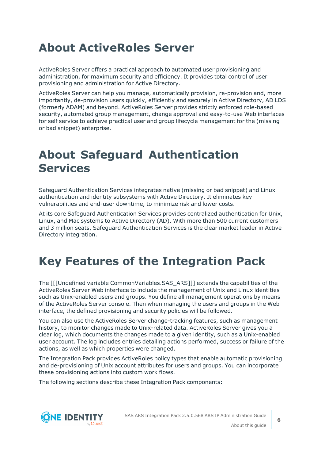## <span id="page-5-0"></span>**About ActiveRoles Server**

ActiveRoles Server offers a practical approach to automated user provisioning and administration, for maximum security and efficiency. It provides total control of user provisioning and administration for Active Directory.

ActiveRoles Server can help you manage, automatically provision, re-provision and, more importantly, de-provision users quickly, efficiently and securely in Active Directory, AD LDS (formerly ADAM) and beyond. ActiveRoles Server provides strictly enforced role-based security, automated group management, change approval and easy-to-use Web interfaces for self service to achieve practical user and group lifecycle management for the (missing or bad snippet) enterprise.

### <span id="page-5-1"></span>**About Safeguard Authentication Services**

Safeguard Authentication Services integrates native (missing or bad snippet) and Linux authentication and identity subsystems with Active Directory. It eliminates key vulnerabilities and end-user downtime, to minimize risk and lower costs.

At its core Safeguard Authentication Services provides centralized authentication for Unix, Linux, and Mac systems to Active Directory (AD). With more than 500 current customers and 3 million seats, Safeguard Authentication Services is the clear market leader in Active Directory integration.

# <span id="page-5-2"></span>**Key Features of the Integration Pack**

The [[[Undefined variable CommonVariables.SAS\_ARS]]] extends the capabilities of the ActiveRoles Server Web interface to include the management of Unix and Linux identities such as Unix-enabled users and groups. You define all management operations by means of the ActiveRoles Server console. Then when managing the users and groups in the Web interface, the defined provisioning and security policies will be followed.

You can also use the ActiveRoles Server change-tracking features, such as management history, to monitor changes made to Unix-related data. ActiveRoles Server gives you a clear log, which documents the changes made to a given identity, such as a Unix-enabled user account. The log includes entries detailing actions performed, success or failure of the actions, as well as which properties were changed.

The Integration Pack provides ActiveRoles policy types that enable automatic provisioning and de-provisioning of Unix account attributes for users and groups. You can incorporate these provisioning actions into custom work flows.

The following sections describe these Integration Pack components:

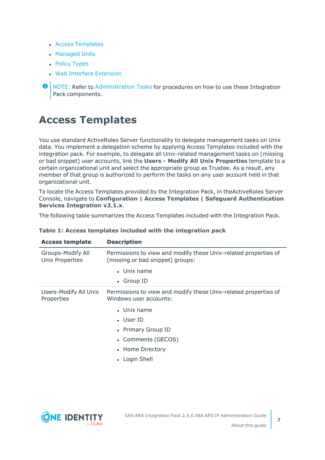- Access [Templates](#page-6-0)
- [Managed](#page-7-0) Units
- Policy [Types](#page-7-1)
- Web Interface [Extension](#page-8-0)

### <span id="page-6-0"></span>**Access Templates**

You use standard ActiveRoles Server functionality to delegate management tasks on Unix data. You implement a delegation scheme by applying Access Templates included with the integration pack. For example, to delegate all Unix-related management tasks on (missing or bad snippet) user accounts, link the **Users - Modify All Unix Properties** template to a certain organizational unit and select the appropriate group as Trustee. As a result, any member of that group is authorized to perform the tasks on any user account held in that organizational unit.

To locate the Access Templates provided by the Integration Pack, in theActiveRoles Server Console, navigate to **Configuration | Access Templates | Safeguard Authentication Services Integration v2.1.x**.

The following table summarizes the Access Templates included with the Integration Pack.

| <b>Access template</b>                      | <b>Description</b>                                                                                  |
|---------------------------------------------|-----------------------------------------------------------------------------------------------------|
| Groups-Modify All<br><b>Unix Properties</b> | Permissions to view and modify these Unix-related properties of<br>(missing or bad snippet) groups: |
|                                             | • Unix name                                                                                         |
|                                             | • Group ID                                                                                          |
| Users-Modify All Unix<br>Properties         | Permissions to view and modify these Unix-related properties of<br>Windows user accounts:           |
|                                             | $\bullet$ Unix name                                                                                 |
|                                             | $\bullet$ User ID                                                                                   |
|                                             | • Primary Group ID                                                                                  |
|                                             | • Comments (GECOS)                                                                                  |
|                                             | • Home Directory                                                                                    |
|                                             | • Login Shell                                                                                       |
|                                             |                                                                                                     |

#### **Table 1: Access templates included with the integration pack**



**O** NOTE: Refer to [Administration](#page-12-0) Tasks for procedures on how to use these Integration Pack components.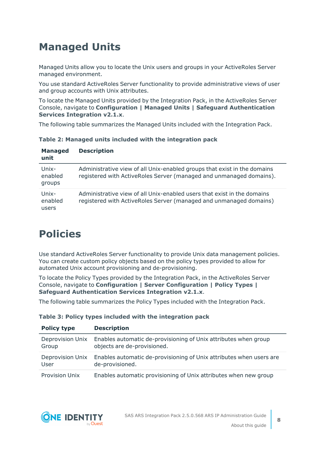### <span id="page-7-0"></span>**Managed Units**

Managed Units allow you to locate the Unix users and groups in your ActiveRoles Server managed environment.

You use standard ActiveRoles Server functionality to provide administrative views of user and group accounts with Unix attributes.

To locate the Managed Units provided by the Integration Pack, in the ActiveRoles Server Console, navigate to **Configuration | Managed Units | Safeguard Authentication Services Integration v2.1.x**.

The following table summarizes the Managed Units included with the Integration Pack.

|  |  |  |  |  |  |  | Table 2: Managed units included with the integration pack |  |
|--|--|--|--|--|--|--|-----------------------------------------------------------|--|
|--|--|--|--|--|--|--|-----------------------------------------------------------|--|

| <b>Managed</b><br>unit     | <b>Description</b>                                                                                                                              |
|----------------------------|-------------------------------------------------------------------------------------------------------------------------------------------------|
| Unix-<br>enabled<br>groups | Administrative view of all Unix-enabled groups that exist in the domains<br>registered with ActiveRoles Server (managed and unmanaged domains). |
| Unix-<br>enabled<br>users  | Administrative view of all Unix-enabled users that exist in the domains<br>registered with ActiveRoles Server (managed and unmanaged domains)   |

### <span id="page-7-1"></span>**Policies**

Use standard ActiveRoles Server functionality to provide Unix data management policies. You can create custom policy objects based on the policy types provided to allow for automated Unix account provisioning and de-provisioning.

To locate the Policy Types provided by the Integration Pack, in the ActiveRoles Server Console, navigate to **Configuration | Server Configuration | Policy Types | Safeguard Authentication Services Integration v2.1.x**.

The following table summarizes the Policy Types included with the Integration Pack.

| <b>Policy type</b>    | <b>Description</b>                                                  |
|-----------------------|---------------------------------------------------------------------|
| Deprovision Unix      | Enables automatic de-provisioning of Unix attributes when group     |
| Group                 | objects are de-provisioned.                                         |
| Deprovision Unix      | Enables automatic de-provisioning of Unix attributes when users are |
| User                  | de-provisioned.                                                     |
| <b>Provision Unix</b> | Enables automatic provisioning of Unix attributes when new group    |

**Table 3: Policy types included with the integration pack**



**8**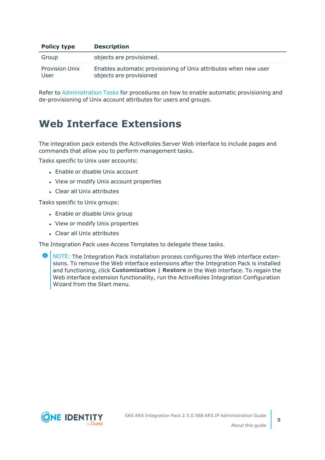| <b>Policy type</b>            | <b>Description</b>                                                                         |
|-------------------------------|--------------------------------------------------------------------------------------------|
| Group                         | objects are provisioned.                                                                   |
| <b>Provision Unix</b><br>User | Enables automatic provisioning of Unix attributes when new user<br>objects are provisioned |

Refer to [Administration](#page-12-0) Tasks for procedures on how to enable automatic provisioning and de-provisioning of Unix account attributes for users and groups.

### <span id="page-8-0"></span>**Web Interface Extensions**

The integration pack extends the ActiveRoles Server Web interface to include pages and commands that allow you to perform management tasks.

Tasks specific to Unix user accounts:

- $\cdot$  Enable or disable Unix account
- View or modify Unix account properties
- Clear all Unix attributes

Tasks specific to Unix groups:

- Enable or disable Unix group
- View or modify Unix properties
- Clear all Unix attributes

The Integration Pack uses Access Templates to delegate these tasks.

**O** NOTE: The Integration Pack installation process configures the Web interface extensions. To remove the Web interface extensions after the Integration Pack is installed and functioning, click **Customization | Restore** in the Web interface. To regain the Web interface extension functionality, run the ActiveRoles Integration Configuration Wizard from the Start menu.

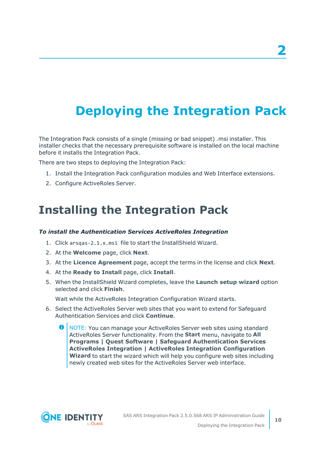# <span id="page-9-0"></span>**Deploying the Integration Pack**

The Integration Pack consists of a single (missing or bad snippet) .msi installer. This installer checks that the necessary prerequisite software is installed on the local machine before it installs the Integration Pack.

There are two steps to deploying the Integration Pack:

- 1. Install the Integration Pack configuration modules and Web Interface extensions.
- <span id="page-9-1"></span>2. Configure ActiveRoles Server.

### **Installing the Integration Pack**

#### *To install the Authentication Services ActiveRoles Integration*

- 1. Click arsqas-2.1.x.msi file to start the InstallShield Wizard.
- 2. At the **Welcome** page, click **Next**.
- 3. At the **Licence Agreement** page, accept the terms in the license and click **Next**.
- 4. At the **Ready to Install** page, click **Install**.
- 5. When the InstallShield Wizard completes, leave the **Launch setup wizard** option selected and click **Finish**.

Wait while the ActiveRoles Integration Configuration Wizard starts.

- 6. Select the ActiveRoles Server web sites that you want to extend for Safeguard Authentication Services and click **Continue**.
	- 6 NOTE: You can manage your ActiveRoles Server web sites using standard ActiveRoles Server functionality. From the **Start** menu, navigate to **All Programs | Quest Software | Safeguard Authentication Services ActiveRoles Integration | ActiveRoles Integration Configuration Wizard** to start the wizard which will help you configure web sites including newly created web sites for the ActiveRoles Server web interface.

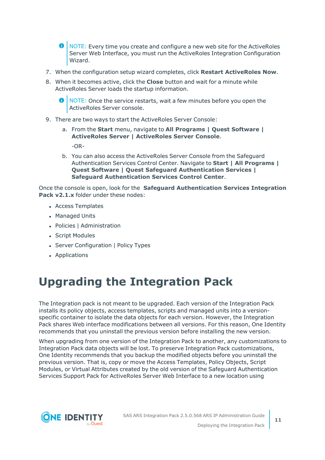**O** NOTE: Every time you create and configure a new web site for the ActiveRoles Server Web Interface, you must run the ActiveRoles Integration Configuration Wizard.

- 7. When the configuration setup wizard completes, click **Restart ActiveRoles Now**.
- 8. When it becomes active, click the **Close** button and wait for a minute while ActiveRoles Server loads the startup information.

6 NOTE: Once the service restarts, wait a few minutes before you open the ActiveRoles Server console.

- 9. There are two ways to start the ActiveRoles Server Console:
	- a. From the **Start** menu, navigate to **All Programs | Quest Software | ActiveRoles Server | ActiveRoles Server Console**. -OR-
	- b. You can also access the ActiveRoles Server Console from the Safeguard Authentication Services Control Center. Navigate to **Start | All Programs | Quest Software | Quest Safeguard Authentication Services | Safeguard Authentication Services Control Center**.

Once the console is open, look for the **Safeguard Authentication Services Integration Pack v2.1.x** folder under these nodes:

- Access Templates
- Managed Units
- Policies | Administration
- Script Modules
- Server Configuration | Policy Types
- <span id="page-10-0"></span>• Applications

### **Upgrading the Integration Pack**

The Integration pack is not meant to be upgraded. Each version of the Integration Pack installs its policy objects, access templates, scripts and managed units into a versionspecific container to isolate the data objects for each version. However, the Integration Pack shares Web interface modifications between all versions. For this reason, One Identity recommends that you uninstall the previous version before installing the new version.

When upgrading from one version of the Integration Pack to another, any customizations to Integration Pack data objects will be lost. To preserve Integration Pack customizations, One Identity recommends that you backup the modified objects before you uninstall the previous version. That is, copy or move the Access Templates, Policy Objects, Script Modules, or Virtual Attributes created by the old version of the Safeguard Authentication Services Support Pack for ActiveRoles Server Web Interface to a new location using



SAS ARS Integration Pack 2.5.0.568 ARS IP Administration Guide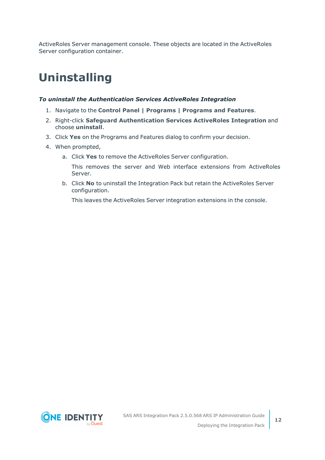ActiveRoles Server management console. These objects are located in the ActiveRoles Server configuration container.

### <span id="page-11-0"></span>**Uninstalling**

#### *To uninstall the Authentication Services ActiveRoles Integration*

- 1. Navigate to the **Control Panel | Programs | Programs and Features**.
- 2. Right-click **Safeguard Authentication Services ActiveRoles Integration** and choose **uninstall**.
- 3. Click **Yes** on the Programs and Features dialog to confirm your decision.
- 4. When prompted,
	- a. Click **Yes** to remove the ActiveRoles Server configuration.
		- This removes the server and Web interface extensions from ActiveRoles Server.
	- b. Click **No** to uninstall the Integration Pack but retain the ActiveRoles Server configuration.

This leaves the ActiveRoles Server integration extensions in the console.

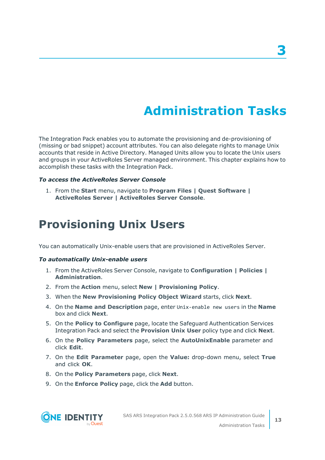# **Administration Tasks**

**3**

<span id="page-12-0"></span>The Integration Pack enables you to automate the provisioning and de-provisioning of (missing or bad snippet) account attributes. You can also delegate rights to manage Unix accounts that reside in Active Directory. Managed Units allow you to locate the Unix users and groups in your ActiveRoles Server managed environment. This chapter explains how to accomplish these tasks with the Integration Pack.

#### *To access the ActiveRoles Server Console*

1. From the **Start** menu, navigate to **Program Files | Quest Software | ActiveRoles Server | ActiveRoles Server Console**.

### <span id="page-12-1"></span>**Provisioning Unix Users**

You can automatically Unix-enable users that are provisioned in ActiveRoles Server.

#### *To automatically Unix-enable users*

- 1. From the ActiveRoles Server Console, navigate to **Configuration | Policies | Administration**.
- 2. From the **Action** menu, select **New | Provisioning Policy**.
- 3. When the **New Provisioning Policy Object Wizard** starts, click **Next**.
- 4. On the **Name and Description** page, enter Unix-enable new users in the **Name** box and click **Next**.
- 5. On the **Policy to Configure** page, locate the Safeguard Authentication Services Integration Pack and select the **Provision Unix User** policy type and click **Next**.
- 6. On the **Policy Parameters** page, select the **AutoUnixEnable** parameter and click **Edit**.
- 7. On the **Edit Parameter** page, open the **Value:** drop-down menu, select **True** and click **OK**.
- 8. On the **Policy Parameters** page, click **Next**.
- 9. On the **Enforce Policy** page, click the **Add** button.

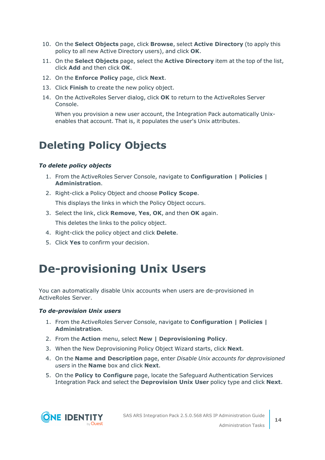- 10. On the **Select Objects** page, click **Browse**, select **Active Directory** (to apply this policy to all new Active Directory users), and click **OK**.
- 11. On the **Select Objects** page, select the **Active Directory** item at the top of the list, click **Add** and then click **OK**.
- 12. On the **Enforce Policy** page, click **Next**.
- 13. Click **Finish** to create the new policy object.
- 14. On the ActiveRoles Server dialog, click **OK** to return to the ActiveRoles Server Console.

When you provision a new user account, the Integration Pack automatically Unixenables that account. That is, it populates the user's Unix attributes.

### <span id="page-13-0"></span>**Deleting Policy Objects**

#### *To delete policy objects*

- 1. From the ActiveRoles Server Console, navigate to **Configuration | Policies | Administration**.
- 2. Right-click a Policy Object and choose **Policy Scope**. This displays the links in which the Policy Object occurs.
- 3. Select the link, click **Remove**, **Yes**, **OK**, and then **OK** again. This deletes the links to the policy object.
- 4. Right-click the policy object and click **Delete**.
- <span id="page-13-1"></span>5. Click **Yes** to confirm your decision.

### **De-provisioning Unix Users**

You can automatically disable Unix accounts when users are de-provisioned in ActiveRoles Server.

#### *To de-provision Unix users*

- 1. From the ActiveRoles Server Console, navigate to **Configuration | Policies | Administration**.
- 2. From the **Action** menu, select **New | Deprovisioning Policy**.
- 3. When the New Deprovisioning Policy Object Wizard starts, click **Next**.
- 4. On the **Name and Description** page, enter *Disable Unix accounts for deprovisioned users* in the **Name** box and click **Next**.
- 5. On the **Policy to Configure** page, locate the Safeguard Authentication Services Integration Pack and select the **Deprovision Unix User** policy type and click **Next**.

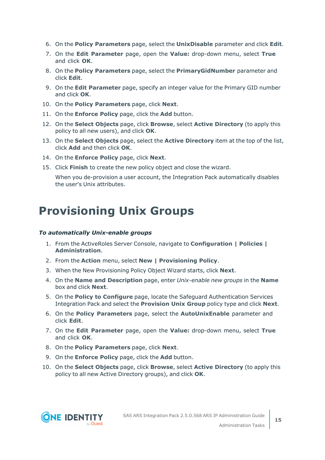- 6. On the **Policy Parameters** page, select the **UnixDisable** parameter and click **Edit**.
- 7. On the **Edit Parameter** page, open the **Value:** drop-down menu, select **True** and click **OK**.
- 8. On the **Policy Parameters** page, select the **PrimaryGidNumber** parameter and click **Edit**.
- 9. On the **Edit Parameter** page, specify an integer value for the Primary GID number and click **OK**.
- 10. On the **Policy Parameters** page, click **Next**.
- 11. On the **Enforce Policy** page, click the **Add** button.
- 12. On the **Select Objects** page, click **Browse**, select **Active Directory** (to apply this policy to all new users), and click **OK**.
- 13. On the **Select Objects** page, select the **Active Directory** item at the top of the list, click **Add** and then click **OK**.
- 14. On the **Enforce Policy** page, click **Next**.
- 15. Click **Finish** to create the new policy object and close the wizard.

When you de-provision a user account, the Integration Pack automatically disables the user's Unix attributes.

### <span id="page-14-0"></span>**Provisioning Unix Groups**

#### *To automatically Unix-enable groups*

- 1. From the ActiveRoles Server Console, navigate to **Configuration | Policies | Administration**.
- 2. From the **Action** menu, select **New | Provisioning Policy**.
- 3. When the New Provisioning Policy Object Wizard starts, click **Next**.
- 4. On the **Name and Description** page, enter *Unix-enable new groups* in the **Name** box and click **Next**.
- 5. On the **Policy to Configure** page, locate the Safeguard Authentication Services Integration Pack and select the **Provision Unix Group** policy type and click **Next**.
- 6. On the **Policy Parameters** page, select the **AutoUnixEnable** parameter and click **Edit**.
- 7. On the **Edit Parameter** page, open the **Value:** drop-down menu, select **True** and click **OK**.
- 8. On the **Policy Parameters** page, click **Next**.
- 9. On the **Enforce Policy** page, click the **Add** button.
- 10. On the **Select Objects** page, click **Browse**, select **Active Directory** (to apply this policy to all new Active Directory groups), and click **OK**.

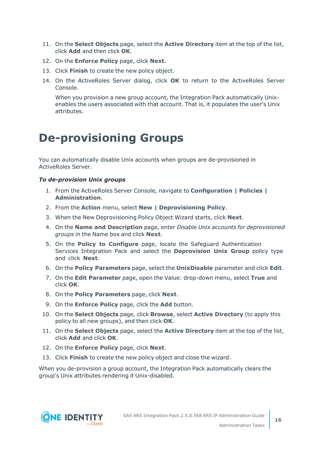- 11. On the **Select Objects** page, select the **Active Directory** item at the top of the list, click **Add** and then click **OK**.
- 12. On the **Enforce Policy** page, click **Next**.
- 13. Click **Finish** to create the new policy object.
- 14. On the ActiveRoles Server dialog, click **OK** to return to the ActiveRoles Server Console.

When you provision a new group account, the Integration Pack automatically Unixenables the users associated with that account. That is, it populates the user's Unix attributes.

### <span id="page-15-0"></span>**De-provisioning Groups**

You can automatically disable Unix accounts when groups are de-provisioned in ActiveRoles Server.

#### *To de-provision Unix groups*

- 1. From the ActiveRoles Server Console, navigate to **Configuration | Policies | Administration**.
- 2. From the **Action** menu, select **New | Deprovisioning Policy**.
- 3. When the New Deprovisioning Policy Object Wizard starts, click **Next**.
- 4. On the **Name and Description** page, enter *Disable Unix accounts for deprovisioned groups* in the Name box and click **Next**.
- 5. On the **Policy to Configure** page, locate the Safeguard Authentication Services Integration Pack and select the **Deprovision Unix Group** policy type and click **Next**.
- 6. On the **Policy Parameters** page, select the **UnixDisable** parameter and click **Edit**.
- 7. On the **Edit Parameter** page, open the Value: drop-down menu, select **True** and click **OK**.
- 8. On the **Policy Parameters** page, click **Next**.
- 9. On the **Enforce Policy** page, click the **Add** button.
- 10. On the **Select Objects** page, click **Browse**, select **Active Directory** (to apply this policy to all new groups), and then click **OK**.
- 11. On the **Select Objects** page, select the **Active Directory** item at the top of the list, click **Add** and click **OK**.
- 12. On the **Enforce Policy** page, click **Next**.
- 13. Click **Finish** to create the new policy object and close the wizard.

When you de-provision a group account, the Integration Pack automatically clears the group's Unix attributes rendering it Unix-disabled.

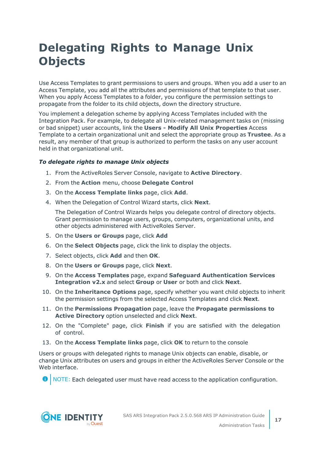## <span id="page-16-0"></span>**Delegating Rights to Manage Unix Objects**

Use Access Templates to grant permissions to users and groups. When you add a user to an Access Template, you add all the attributes and permissions of that template to that user. When you apply Access Templates to a folder, you configure the permission settings to propagate from the folder to its child objects, down the directory structure.

You implement a delegation scheme by applying Access Templates included with the Integration Pack. For example, to delegate all Unix-related management tasks on (missing or bad snippet) user accounts, link the **Users - Modify All Unix Properties** Access Template to a certain organizational unit and select the appropriate group as **Trustee**. As a result, any member of that group is authorized to perform the tasks on any user account held in that organizational unit.

#### *To delegate rights to manage Unix objects*

- 1. From the ActiveRoles Server Console, navigate to **Active Directory**.
- 2. From the **Action** menu, choose **Delegate Control**
- 3. On the **Access Template links** page, click **Add**.
- 4. When the Delegation of Control Wizard starts, click **Next**.

The Delegation of Control Wizards helps you delegate control of directory objects. Grant permission to manage users, groups, computers, organizational units, and other objects administered with ActiveRoles Server.

- 5. On the **Users or Groups** page, click **Add**
- 6. On the **Select Objects** page, click the link to display the objects.
- 7. Select objects, click **Add** and then **OK**.
- 8. On the **Users or Groups** page, click **Next**.
- 9. On the **Access Templates** page, expand **Safeguard Authentication Services Integration v2.x** and select **Group** or **User** or both and click **Next**.
- 10. On the **Inheritance Options** page, specify whether you want child objects to inherit the permission settings from the selected Access Templates and click **Next**.
- 11. On the **Permissions Propagation** page, leave the **Propagate permissions to Active Directory** option unselected and click **Next**.
- 12. On the "Complete" page, click **Finish** if you are satisfied with the delegation of control.
- 13. On the **Access Template links** page, click **OK** to return to the console

Users or groups with delegated rights to manage Unix objects can enable, disable, or change Unix attributes on users and groups in either the ActiveRoles Server Console or the Web interface.

NOTE: Each delegated user must have read access to the application configuration. 0

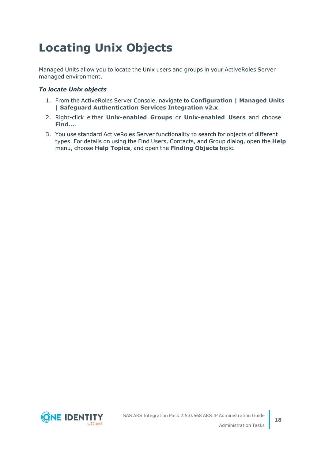# <span id="page-17-0"></span>**Locating Unix Objects**

Managed Units allow you to locate the Unix users and groups in your ActiveRoles Server managed environment.

#### *To locate Unix objects*

- 1. From the ActiveRoles Server Console, navigate to **Configuration | Managed Units | Safeguard Authentication Services Integration v2.x**.
- 2. Right-click either **Unix-enabled Groups** or **Unix-enabled Users** and choose **Find...**.
- 3. You use standard ActiveRoles Server functionality to search for objects of different types. For details on using the Find Users, Contacts, and Group dialog, open the **Help** menu, choose **Help Topics**, and open the **Finding Objects** topic.

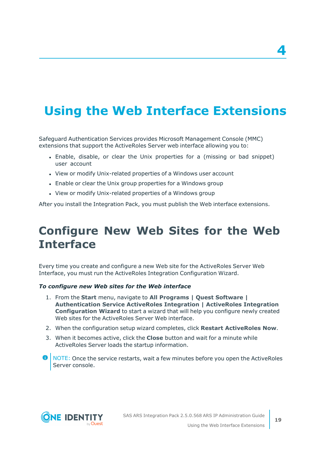# <span id="page-18-0"></span>**Using the Web Interface Extensions**

Safeguard Authentication Services provides Microsoft Management Console (MMC) extensions that support the ActiveRoles Server web interface allowing you to:

- Enable, disable, or clear the Unix properties for a (missing or bad snippet) user account
- View or modify Unix-related properties of a Windows user account
- Enable or clear the Unix group properties for a Windows group
- View or modify Unix-related properties of a Windows group

<span id="page-18-1"></span>After you install the Integration Pack, you must publish the Web interface extensions.

### **Configure New Web Sites for the Web Interface**

Every time you create and configure a new Web site for the ActiveRoles Server Web Interface, you must run the ActiveRoles Integration Configuration Wizard.

#### *To configure new Web sites for the Web interface*

- 1. From the **Start** menu, navigate to **All Programs | Quest Software | Authentication Service ActiveRoles Integration | ActiveRoles Integration Configuration Wizard** to start a wizard that will help you configure newly created Web sites for the ActiveRoles Server Web interface.
- 2. When the configuration setup wizard completes, click **Restart ActiveRoles Now**.
- 3. When it becomes active, click the **Close** button and wait for a minute while ActiveRoles Server loads the startup information.
- **O** NOTE: Once the service restarts, wait a few minutes before you open the ActiveRoles Server console.



**4**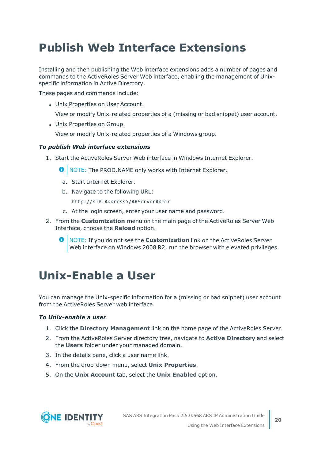## <span id="page-19-0"></span>**Publish Web Interface Extensions**

Installing and then publishing the Web interface extensions adds a number of pages and commands to the ActiveRoles Server Web interface, enabling the management of Unixspecific information in Active Directory.

These pages and commands include:

• Unix Properties on User Account.

View or modify Unix-related properties of a (missing or bad snippet) user account.

• Unix Properties on Group.

View or modify Unix-related properties of a Windows group.

#### *To publish Web interface extensions*

1. Start the ActiveRoles Server Web interface in Windows Internet Explorer.

**O** NOTE: The PROD.NAME only works with Internet Explorer.

- a. Start Internet Explorer.
- b. Navigate to the following URL:

http://<IP Address>/ARServerAdmin

- c. At the login screen, enter your user name and password.
- 2. From the **Customization** menu on the main page of the ActiveRoles Server Web Interface, choose the **Reload** option.
	- NOTE: If you do not see the **Customization** link on the ActiveRoles Server Web interface on Windows 2008 R2, run the browser with elevated privileges.

### <span id="page-19-1"></span>**Unix-Enable a User**

You can manage the Unix-specific information for a (missing or bad snippet) user account from the ActiveRoles Server web interface.

#### *To Unix-enable a user*

- 1. Click the **Directory Management** link on the home page of the ActiveRoles Server.
- 2. From the ActiveRoles Server directory tree, navigate to **Active Directory** and select the **Users** folder under your managed domain.
- 3. In the details pane, click a user name link.
- 4. From the drop-down menu, select **Unix Properties**.
- 5. On the **Unix Account** tab, select the **Unix Enabled** option.

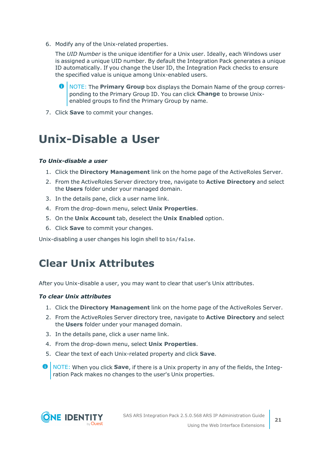6. Modify any of the Unix-related properties.

The *UID Number* is the unique identifier for a Unix user. Ideally, each Windows user is assigned a unique UID number. By default the Integration Pack generates a unique ID automatically. If you change the User ID, the Integration Pack checks to ensure the specified value is unique among Unix-enabled users.

6 NOTE: The **Primary Group** box displays the Domain Name of the group corresponding to the Primary Group ID. You can click **Change** to browse Unixenabled groups to find the Primary Group by name.

<span id="page-20-0"></span>7. Click **Save** to commit your changes.

### **Unix-Disable a User**

#### *To Unix-disable a user*

- 1. Click the **Directory Management** link on the home page of the ActiveRoles Server.
- 2. From the ActiveRoles Server directory tree, navigate to **Active Directory** and select the **Users** folder under your managed domain.
- 3. In the details pane, click a user name link.
- 4. From the drop-down menu, select **Unix Properties**.
- 5. On the **Unix Account** tab, deselect the **Unix Enabled** option.
- 6. Click **Save** to commit your changes.

<span id="page-20-1"></span>Unix-disabling a user changes his login shell to bin/false.

### **Clear Unix Attributes**

After you Unix-disable a user, you may want to clear that user's Unix attributes.

#### *To clear Unix attributes*

- 1. Click the **Directory Management** link on the home page of the ActiveRoles Server.
- 2. From the ActiveRoles Server directory tree, navigate to **Active Directory** and select the **Users** folder under your managed domain.
- 3. In the details pane, click a user name link.
- 4. From the drop-down menu, select **Unix Properties**.
- 5. Clear the text of each Unix-related property and click **Save**.
- 6 NOTE: When you click **Save**, if there is a Unix property in any of the fields, the Integration Pack makes no changes to the user's Unix properties.

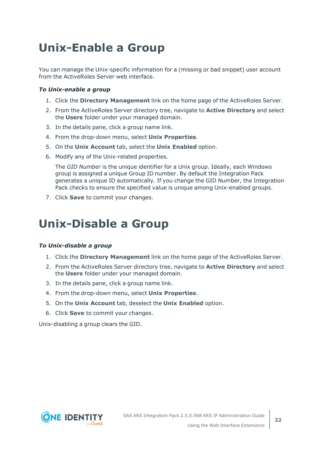# <span id="page-21-0"></span>**Unix-Enable a Group**

You can manage the Unix-specific information for a (missing or bad snippet) user account from the ActiveRoles Server web interface.

#### *To Unix-enable a group*

- 1. Click the **Directory Management** link on the home page of the ActiveRoles Server.
- 2. From the ActiveRoles Server directory tree, navigate to **Active Directory** and select the **Users** folder under your managed domain.
- 3. In the details pane, click a group name link.
- 4. From the drop-down menu, select **Unix Properties**.
- 5. On the **Unix Account** tab, select the **Unix Enabled** option.
- 6. Modify any of the Unix-related properties.

The *GID Number* is the unique identifier for a Unix group. Ideally, each Windows group is assigned a unique Group ID number. By default the Integration Pack generates a unique ID automatically. If you change the GID Number, the Integration Pack checks to ensure the specified value is unique among Unix-enabled groups.

<span id="page-21-1"></span>7. Click **Save** to commit your changes.

### **Unix-Disable a Group**

#### *To Unix-disable a group*

- 1. Click the **Directory Management** link on the home page of the ActiveRoles Server.
- 2. From the ActiveRoles Server directory tree, navigate to **Active Directory** and select the **Users** folder under your managed domain.
- 3. In the details pane, click a group name link.
- 4. From the drop-down menu, select **Unix Properties**.
- 5. On the **Unix Account** tab, deselect the **Unix Enabled** option.
- 6. Click **Save** to commit your changes.

Unix-disabling a group clears the GID.

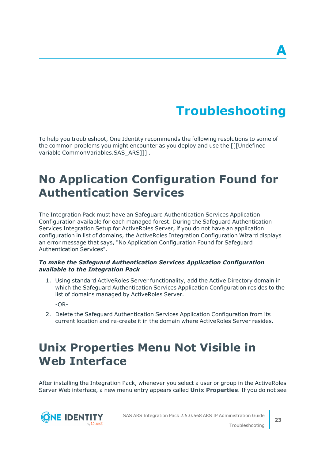# **Troubleshooting**

<span id="page-22-0"></span>To help you troubleshoot, One Identity recommends the following resolutions to some of the common problems you might encounter as you deploy and use the [[[Undefined variable CommonVariables.SAS\_ARS]]] .

## <span id="page-22-1"></span>**No Application Configuration Found for Authentication Services**

The Integration Pack must have an Safeguard Authentication Services Application Configuration available for each managed forest. During the Safeguard Authentication Services Integration Setup for ActiveRoles Server, if you do not have an application configuration in list of domains, the ActiveRoles Integration Configuration Wizard displays an error message that says, "No Application Configuration Found for Safeguard Authentication Services".

#### *To make the Safeguard Authentication Services Application Configuration available to the Integration Pack*

1. Using standard ActiveRoles Server functionality, add the Active Directory domain in which the Safeguard Authentication Services Application Configuration resides to the list of domains managed by ActiveRoles Server.

-OR-

2. Delete the Safeguard Authentication Services Application Configuration from its current location and re-create it in the domain where ActiveRoles Server resides.

## <span id="page-22-2"></span>**Unix Properties Menu Not Visible in Web Interface**

After installing the Integration Pack, whenever you select a user or group in the ActiveRoles Server Web interface, a new menu entry appears called **Unix Properties**. If you do not see



SAS ARS Integration Pack 2.5.0.568 ARS IP Administration Guide

**23**

Troubleshooting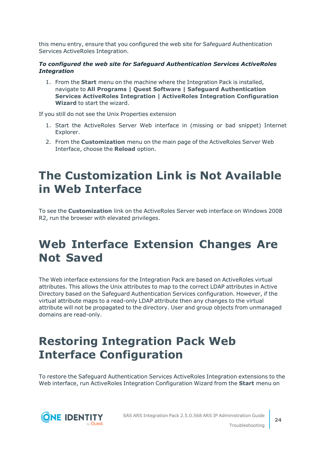this menu entry, ensure that you configured the web site for Safeguard Authentication Services ActiveRoles Integration.

#### *To configured the web site for Safeguard Authentication Services ActiveRoles Integration*

1. From the **Start** menu on the machine where the Integration Pack is installed, navigate to **All Programs | Quest Software | Safeguard Authentication Services ActiveRoles Integration | ActiveRoles Integration Configuration Wizard** to start the wizard.

If you still do not see the Unix Properties extension

- 1. Start the ActiveRoles Server Web interface in (missing or bad snippet) Internet Explorer.
- 2. From the **Customization** menu on the main page of the ActiveRoles Server Web Interface, choose the **Reload** option.

### <span id="page-23-0"></span>**The Customization Link is Not Available in Web Interface**

To see the **Customization** link on the ActiveRoles Server web interface on Windows 2008 R2, run the browser with elevated privileges.

### <span id="page-23-1"></span>**Web Interface Extension Changes Are Not Saved**

The Web interface extensions for the Integration Pack are based on ActiveRoles virtual attributes. This allows the Unix attributes to map to the correct LDAP attributes in Active Directory based on the Safeguard Authentication Services configuration. However, if the virtual attribute maps to a read-only LDAP attribute then any changes to the virtual attribute will not be propagated to the directory. User and group objects from unmanaged domains are read-only.

## <span id="page-23-2"></span>**Restoring Integration Pack Web Interface Configuration**

To restore the Safeguard Authentication Services ActiveRoles Integration extensions to the Web interface, run ActiveRoles Integration Configuration Wizard from the **Start** menu on

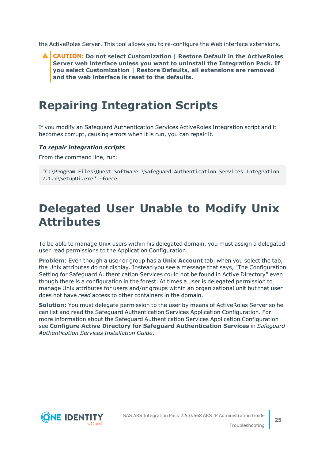the ActiveRoles Server. This tool allows you to re-configure the Web interface extensions.

**CAUTION: Do not select Customization | Restore Default in the ActiveRoles Server web interface unless you want to uninstall the Integration Pack. If you select Customization | Restore Defaults, all extensions are removed and the web interface is reset to the defaults.**

### <span id="page-24-0"></span>**Repairing Integration Scripts**

If you modify an Safeguard Authentication Services ActiveRoles Integration script and it becomes corrupt, causing errors when it is run, you can repair it.

#### *To repair integration scripts*

From the command line, run:

```
"C:\Program Files\Quest Software \Safeguard Authentication Services Integration
2.1.x\SetupUi.exe" -force
```
### <span id="page-24-1"></span>**Delegated User Unable to Modify Unix Attributes**

To be able to manage Unix users within his delegated domain, you must assign a delegated user read permissions to the Application Configuration.

**Problem**: Even though a user or group has a **Unix Account** tab, when you select the tab, the Unix attributes do not display. Instead you see a message that says, "The Configuration Setting for Safeguard Authentication Services could not be found in Active Directory" even though there is a configuration in the forest. At times a user is delegated permission to manage Unix attributes for users and/or groups within an organizational unit but that user does not have *read* access to other containers in the domain.

**Solution**: You must delegate permission to the user by means of ActiveRoles Server so he can list and read the Safeguard Authentication Services Application Configuration. For more information about the Safeguard Authentication Services Application Configuration see **Configure Active Directory for Safeguard Authentication Services** in *Safeguard Authentication Services Installation Guide*.

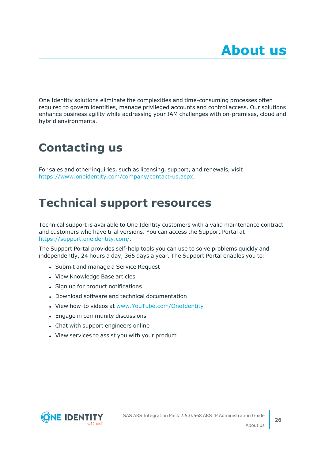<span id="page-25-0"></span>One Identity solutions eliminate the complexities and time-consuming processes often required to govern identities, manage privileged accounts and control access. Our solutions enhance business agility while addressing your IAM challenges with on-premises, cloud and hybrid environments.

## <span id="page-25-1"></span>**Contacting us**

For sales and other inquiries, such as licensing, support, and renewals, visit [https://www.oneidentity.com/company/contact-us.aspx.](https://www.oneidentity.com/company/contact-us.aspx)

### <span id="page-25-2"></span>**Technical support resources**

Technical support is available to One Identity customers with a valid maintenance contract and customers who have trial versions. You can access the Support Portal at [https://support.oneidentity.com/.](https://support.oneidentity.com/)

The Support Portal provides self-help tools you can use to solve problems quickly and independently, 24 hours a day, 365 days a year. The Support Portal enables you to:

- Submit and manage a Service Request
- View Knowledge Base articles
- Sign up for product notifications
- Download software and technical documentation
- View how-to videos at [www.YouTube.com/OneIdentity](http://www.youtube.com/OneIdentity)
- Engage in community discussions
- Chat with support engineers online
- View services to assist you with your product

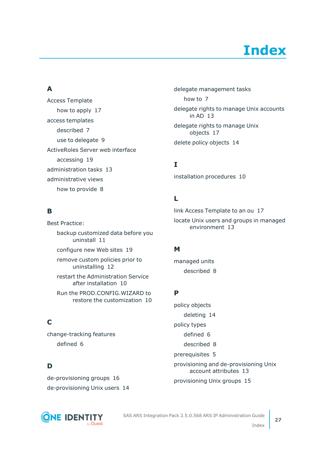# **Index**

#### <span id="page-26-0"></span>**A**

Access Template how to apply  [17](#page-16-0) access templates described  [7](#page-6-0) use to delegate  [9](#page-8-0) ActiveRoles Server web interface accessing  [19](#page-18-0) administration tasks  [13](#page-12-0) administrative views how to provide  [8](#page-7-0)

#### **B**

Best Practice: backup customized data before you uninstall  [11](#page-10-0) configure new Web sites  [19](#page-18-1) remove custom policies prior to uninstalling  [12](#page-11-0) restart the Administration Service after installation  [10](#page-9-1) Run the PROD.CONFIG.WIZARD to restore the customization  [10](#page-9-1) **C**

change-tracking features defined  [6](#page-5-2)

### **D**

de-provisioning groups  [16](#page-15-0) de-provisioning Unix users  [14](#page-13-1) delegate management tasks how to  [7](#page-6-0) delegate rights to manage Unix accounts in AD  [13](#page-12-0) delegate rights to manage Unix objects  [17](#page-16-0) delete policy objects  [14](#page-13-0)

#### **I**

installation procedures  [10](#page-9-0)

#### **L**

link Access Template to an ou  [17](#page-16-0) locate Unix users and groups in managed environment  [13](#page-12-0)

#### **M**

managed units described  [8](#page-7-0)

#### **P**

policy objects deleting  [14](#page-13-0) policy types defined  [6](#page-5-2) described  [8](#page-7-1) prerequisites  [5](#page-4-1) provisioning and de-provisioning Unix account attributes  [13](#page-12-0) provisioning Unix groups  [15](#page-14-0)



SAS ARS Integration Pack 2.5.0.568 ARS IP Administration Guide

**27**